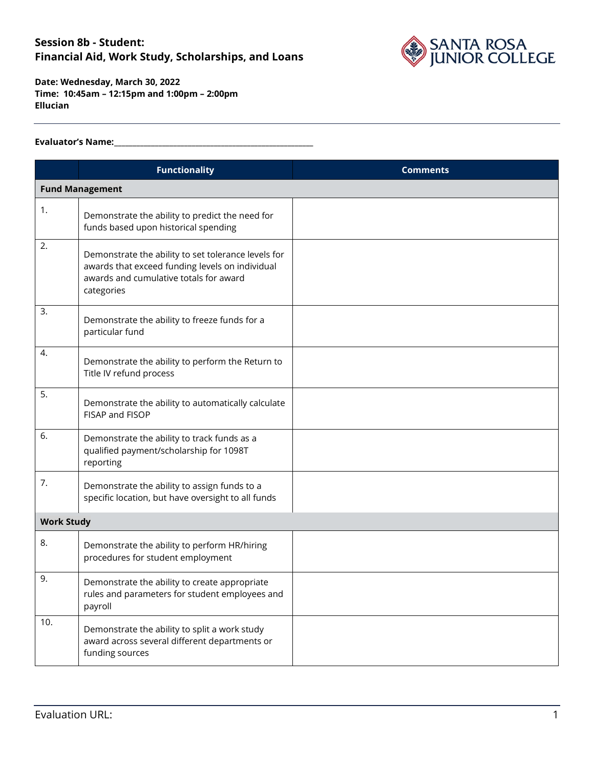

**Date: Wednesday, March 30, 2022 Time: 10:45am – 12:15pm and 1:00pm – 2:00pm Ellucian**

#### **Evaluator's Name:\_\_\_\_\_\_\_\_\_\_\_\_\_\_\_\_\_\_\_\_\_\_\_\_\_\_\_\_\_\_\_\_\_\_\_\_\_\_\_\_\_\_\_\_\_\_\_\_\_\_\_\_\_\_**

|                   | <b>Functionality</b>                                                                                                                                           | <b>Comments</b> |  |
|-------------------|----------------------------------------------------------------------------------------------------------------------------------------------------------------|-----------------|--|
|                   | <b>Fund Management</b>                                                                                                                                         |                 |  |
| 1.                | Demonstrate the ability to predict the need for<br>funds based upon historical spending                                                                        |                 |  |
| 2.                | Demonstrate the ability to set tolerance levels for<br>awards that exceed funding levels on individual<br>awards and cumulative totals for award<br>categories |                 |  |
| 3.                | Demonstrate the ability to freeze funds for a<br>particular fund                                                                                               |                 |  |
| 4.                | Demonstrate the ability to perform the Return to<br>Title IV refund process                                                                                    |                 |  |
| 5.                | Demonstrate the ability to automatically calculate<br>FISAP and FISOP                                                                                          |                 |  |
| 6.                | Demonstrate the ability to track funds as a<br>qualified payment/scholarship for 1098T<br>reporting                                                            |                 |  |
| 7.                | Demonstrate the ability to assign funds to a<br>specific location, but have oversight to all funds                                                             |                 |  |
| <b>Work Study</b> |                                                                                                                                                                |                 |  |
| 8.                | Demonstrate the ability to perform HR/hiring<br>procedures for student employment                                                                              |                 |  |
| 9.                | Demonstrate the ability to create appropriate<br>rules and parameters for student employees and<br>payroll                                                     |                 |  |
| 10.               | Demonstrate the ability to split a work study<br>award across several different departments or<br>funding sources                                              |                 |  |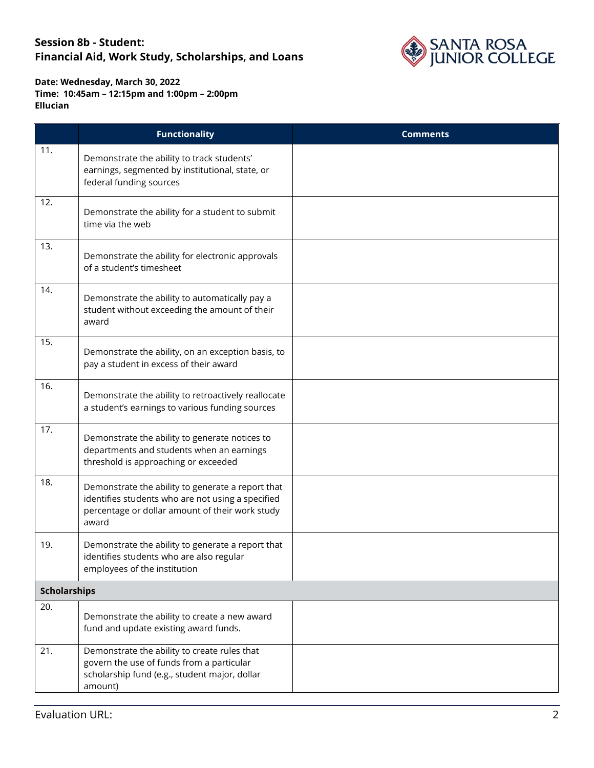

|     | <b>Functionality</b>                                                                                                                                               | <b>Comments</b> |  |  |
|-----|--------------------------------------------------------------------------------------------------------------------------------------------------------------------|-----------------|--|--|
| 11. | Demonstrate the ability to track students'<br>earnings, segmented by institutional, state, or<br>federal funding sources                                           |                 |  |  |
| 12. | Demonstrate the ability for a student to submit<br>time via the web                                                                                                |                 |  |  |
| 13. | Demonstrate the ability for electronic approvals<br>of a student's timesheet                                                                                       |                 |  |  |
| 14. | Demonstrate the ability to automatically pay a<br>student without exceeding the amount of their<br>award                                                           |                 |  |  |
| 15. | Demonstrate the ability, on an exception basis, to<br>pay a student in excess of their award                                                                       |                 |  |  |
| 16. | Demonstrate the ability to retroactively reallocate<br>a student's earnings to various funding sources                                                             |                 |  |  |
| 17. | Demonstrate the ability to generate notices to<br>departments and students when an earnings<br>threshold is approaching or exceeded                                |                 |  |  |
| 18. | Demonstrate the ability to generate a report that<br>identifies students who are not using a specified<br>percentage or dollar amount of their work study<br>award |                 |  |  |
| 19. | Demonstrate the ability to generate a report that<br>identifies students who are also regular<br>employees of the institution                                      |                 |  |  |
|     | <b>Scholarships</b>                                                                                                                                                |                 |  |  |
| 20. | Demonstrate the ability to create a new award<br>fund and update existing award funds.                                                                             |                 |  |  |
| 21. | Demonstrate the ability to create rules that<br>govern the use of funds from a particular<br>scholarship fund (e.g., student major, dollar<br>amount)              |                 |  |  |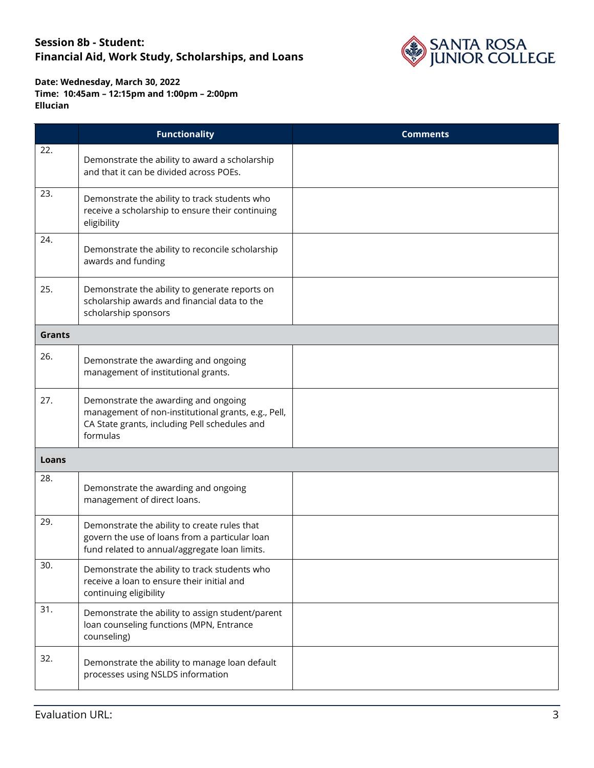

|               | <b>Functionality</b>                                                                                                                                     | <b>Comments</b> |
|---------------|----------------------------------------------------------------------------------------------------------------------------------------------------------|-----------------|
| 22.           | Demonstrate the ability to award a scholarship<br>and that it can be divided across POEs.                                                                |                 |
| 23.           | Demonstrate the ability to track students who<br>receive a scholarship to ensure their continuing<br>eligibility                                         |                 |
| 24.           | Demonstrate the ability to reconcile scholarship<br>awards and funding                                                                                   |                 |
| 25.           | Demonstrate the ability to generate reports on<br>scholarship awards and financial data to the<br>scholarship sponsors                                   |                 |
| <b>Grants</b> |                                                                                                                                                          |                 |
| 26.           | Demonstrate the awarding and ongoing<br>management of institutional grants.                                                                              |                 |
| 27.           | Demonstrate the awarding and ongoing<br>management of non-institutional grants, e.g., Pell,<br>CA State grants, including Pell schedules and<br>formulas |                 |
| Loans         |                                                                                                                                                          |                 |
| 28.           | Demonstrate the awarding and ongoing<br>management of direct loans.                                                                                      |                 |
| 29.           | Demonstrate the ability to create rules that<br>govern the use of loans from a particular loan<br>fund related to annual/aggregate loan limits.          |                 |
| 30.           | Demonstrate the ability to track students who<br>receive a loan to ensure their initial and<br>continuing eligibility                                    |                 |
| 31.           | Demonstrate the ability to assign student/parent<br>loan counseling functions (MPN, Entrance<br>counseling)                                              |                 |
| 32.           | Demonstrate the ability to manage loan default<br>processes using NSLDS information                                                                      |                 |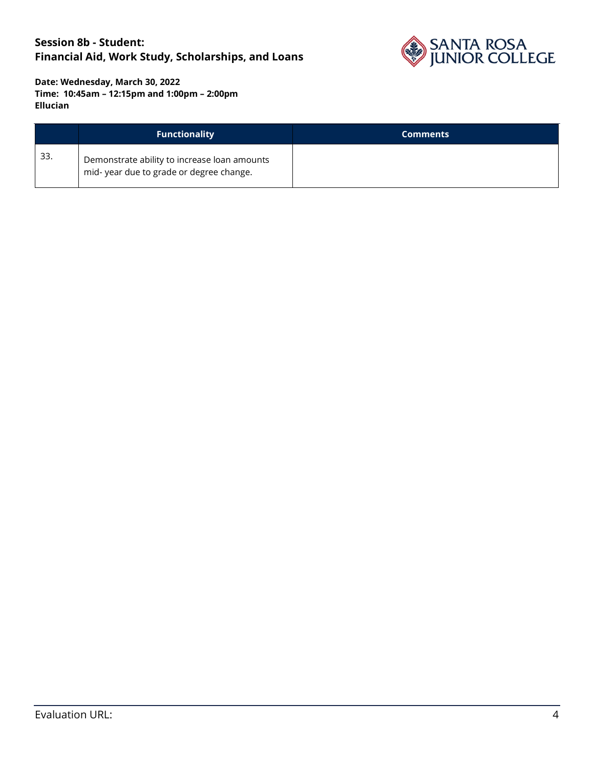

|     | <b>Functionality</b>                                                                    | <b>Comments</b> |
|-----|-----------------------------------------------------------------------------------------|-----------------|
| 33. | Demonstrate ability to increase loan amounts<br>mid-year due to grade or degree change. |                 |